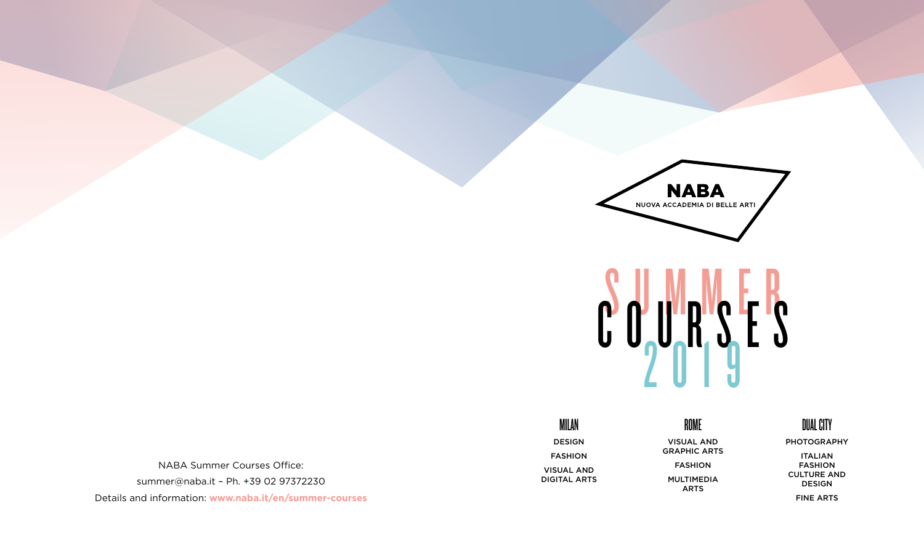



NABA Summer Courses Office: summer@naba.it – Ph. +39 02 97372230

Details and information: **www.naba.it/en/summer-courses**

MILAN DESIGN FASHION VISUAL AND DIGITAL ARTS

#### ROME

VISUAL AND GRAPHIC ARTS FASHION MULTIMEDIA ARTS

### DUAL CITY

PHOTOGRAPHY

ITALIAN FASHION CULTURE AND DESIGN FINE ARTS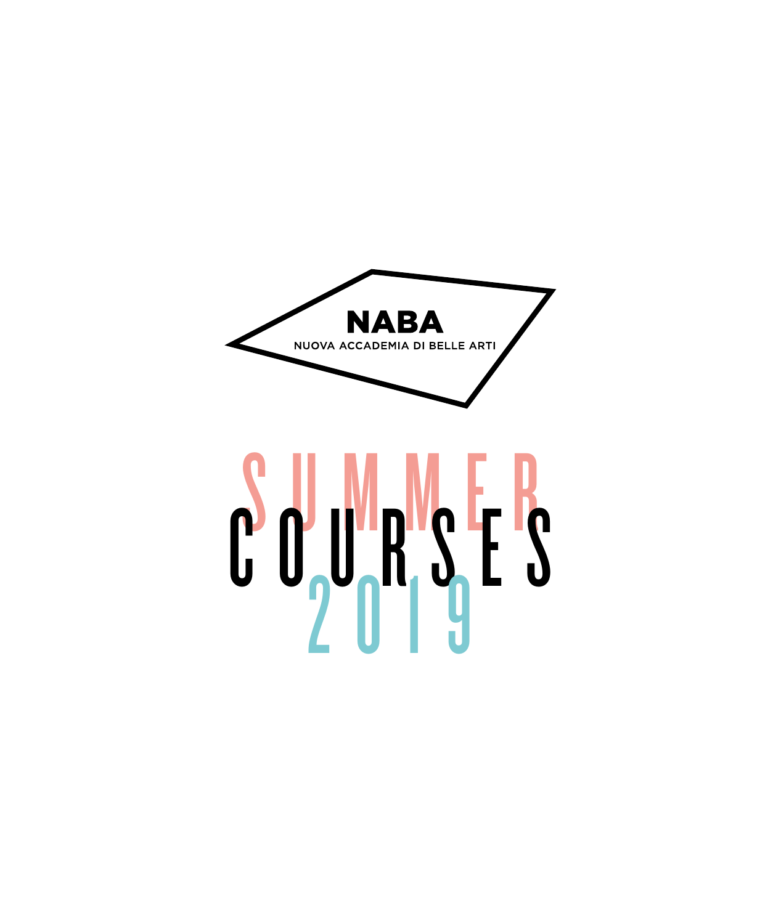

# $\frac{1}{2}$  or  $\frac{1}{2}$  or  $\frac{1}{2}$  is the set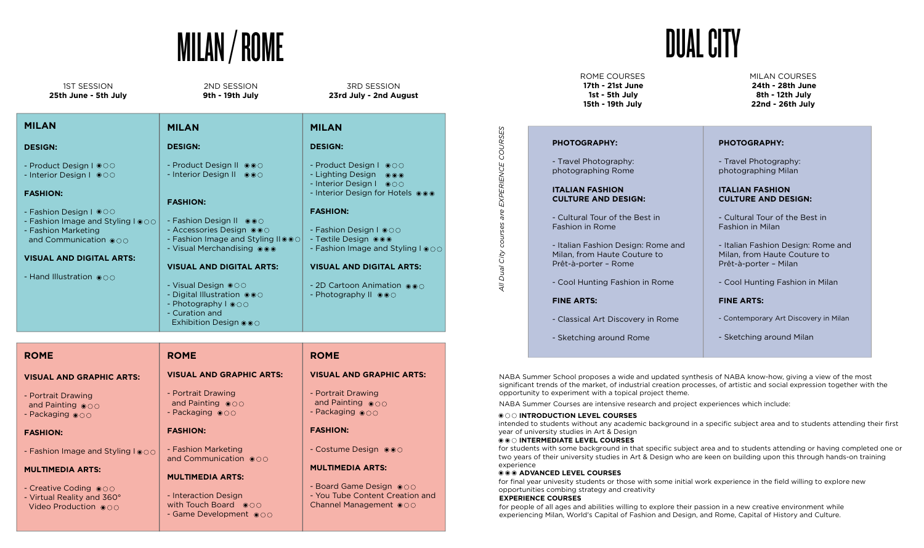# MILAN / ROME

| <b>1ST SESSION</b><br>25th June - 5th July        | 2ND SESSION<br>9th - 19th July                                      | <b>3RD SESSION</b><br>23rd July - 2nd August                               |
|---------------------------------------------------|---------------------------------------------------------------------|----------------------------------------------------------------------------|
| <b>MILAN</b>                                      | <b>MILAN</b>                                                        | <b>MILAN</b>                                                               |
| <b>DESIGN:</b>                                    | <b>DESIGN:</b>                                                      | <b>DESIGN:</b>                                                             |
| - Product Design I ●○○<br>- Interior Design I ©00 | - Product Design II ● ● ○<br>- Interior Design II ●●○               | - Product Design I @00<br>- Lighting Design ●●●<br>- Interior Design I @OO |
| <b>FASHION:</b>                                   | <b>FASHION:</b>                                                     | - Interior Design for Hotels $\circ \circ \bullet$                         |
| - Fashion Design I $\circ \circ \circ$            |                                                                     | <b>FASHION:</b>                                                            |
| - Fashion Image and Styling I $\circ \circ \circ$ | - Fashion Design II 000                                             |                                                                            |
| - Fashion Marketing                               | - Accessories Design 000                                            | - Fashion Design I ●○○                                                     |
| and Communication $\circ \circ \circ$             | - Fashion Image and Styling IIOOO<br>- Visual Merchandising @@@     | - Textile Design ●●●<br>- Fashion Image and Styling I $\circ \circ \circ$  |
| <b>VISUAL AND DIGITAL ARTS:</b>                   |                                                                     |                                                                            |
|                                                   | <b>VISUAL AND DIGITAL ARTS:</b>                                     | <b>VISUAL AND DIGITAL ARTS:</b>                                            |
| - Hand Illustration $\circledcirc \circ \circ$    |                                                                     |                                                                            |
|                                                   | - Visual Design ●○○                                                 | - 2D Cartoon Animation $\circ \circ \circ$                                 |
|                                                   | - Digital Illustration 000<br>- Photography I OOO<br>- Curation and | - Photography II $\circ \circ \circ$                                       |

| <b>ROME</b>                                                                                   | <b>ROME</b>                                                                      | <b>ROME</b>                                                                                          |
|-----------------------------------------------------------------------------------------------|----------------------------------------------------------------------------------|------------------------------------------------------------------------------------------------------|
| <b>VISUAL AND GRAPHIC ARTS:</b>                                                               | <b>VISUAL AND GRAPHIC ARTS:</b>                                                  | <b>VISUAL AND GRAPHIC ARTS:</b>                                                                      |
| - Portrait Drawing<br>and Painting $\circ \circ \circ$<br>- Packaging $\circ \circ \circ$     | - Portrait Drawing<br>and Painting ooo<br>- Packaging $\circ \circ \circ$        | - Portrait Drawing<br>and Painting $\circ \circ \circ$<br>- Packaging $\circ \circ \circ$            |
| <b>FASHION:</b>                                                                               | <b>FASHION:</b>                                                                  | <b>FASHION:</b>                                                                                      |
| - Fashion Image and Styling $I \circ \circ \circ$                                             | - Fashion Marketing<br>and Communication $\circ \circ \circ$                     | - Costume Design $\circ \circ \circ$                                                                 |
| <b>MULTIMEDIA ARTS:</b>                                                                       | <b>MULTIMEDIA ARTS:</b>                                                          | <b>MULTIMEDIA ARTS:</b>                                                                              |
| - Creative Coding $\circ \circ \circ$<br>- Virtual Reality and 360°<br>Video Production ● ○ ○ | - Interaction Design<br>with Touch Board $\bullet$ 000<br>- Game Development OOO | - Board Game Design $\circ \circ \circ$<br>- You Tube Content Creation and<br>Channel Management OOO |

Exhibition Design  $\odot \odot$ 

DUAL CITY

MILAN COURSES **8th - 12th July 22nd - 26th July 24th - 28th June**

#### **PHOTOGRAPHY:** - Travel Photography: photographing Rome **ITALIAN FASHION CULTURE AND DESIGN:** - Cultural Tour of the Best in Fashion in Rome - Italian Fashion Design: Rome and Milan, from Haute Couture to Prêt-à-porter – Rome - Cool Hunting Fashion in Rome **FINE ARTS:** - Classical Art Discovery in Rome - Sketching around Rome **PHOTOGRAPHY:** - Travel Photography: photographing Milan **ITALIAN FASHION CULTURE AND DESIGN:** - Cultural Tour of the Best in Fashion in Milan - Italian Fashion Design: Rome and Milan, from Haute Couture to Prêt-à-porter – Milan - Cool Hunting Fashion in Milan **FINE ARTS:** - Contemporary Art Discovery in Milan - Sketching around Milan

NABA Summer School proposes a wide and updated synthesis of NABA know-how, giving a view of the most significant trends of the market, of industrial creation processes, of artistic and social expression together with the opportunity to experiment with a topical project theme.

NABA Summer Courses are intensive research and project experiences which include:

#### **© O INTRODUCTION LEVEL COURSES**

intended to students without any academic background in a specific subject area and to students attending their first year of university studies in Art & Design

#### $\odot$  $\odot$  **INTERMEDIATE LEVEL COURSES**

for students with some background in that specific subject area and to students attending or having completed one or two years of their university studies in Art & Design who are keen on building upon this through hands-on training experience

#### $\odot$  $\odot$  $\odot$  **ADVANCED LEVEL COURSES**

for final year univesity students or those with some initial work experience in the field willing to explore new opportunities combing strategy and creativity

#### **EXPERIENCE COURSES**

*All Dual City courses are EXPERIENCE COURSES*

are

courses

All Dual City

EXPERIENCE COURSES

for people of all ages and abilities willing to explore their passion in a new creative environment while experiencing Milan, World's Capital of Fashion and Design, and Rome, Capital of History and Culture.

**15th - 19th July**

ROME COURSES **17th - 21st June 1st - 5th July**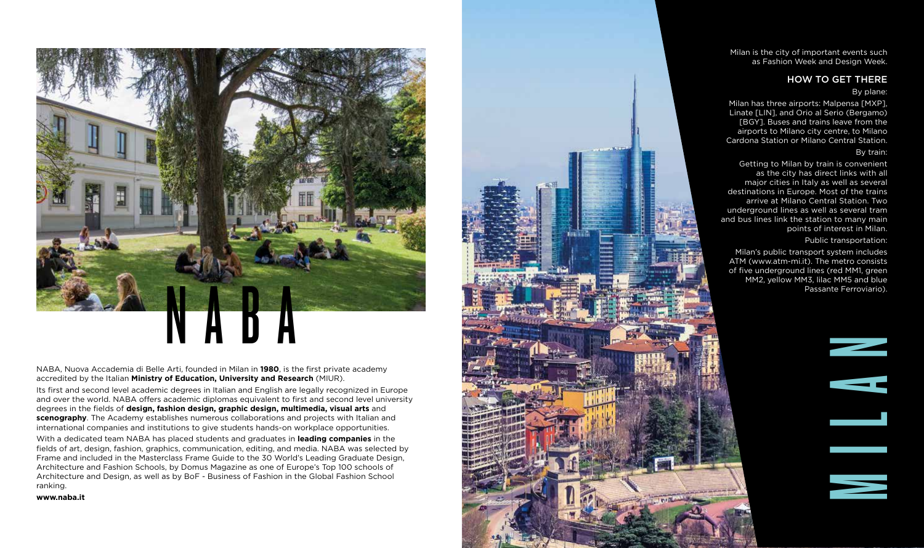Milan is the city of important events such as Fashion Week and Design Week.

#### HOW TO GET THERE

#### By plane:

Milan has three airports: Malpensa [MXP], Linate [LIN], and Orio al Serio (Bergamo) [BGY]. Buses and trains leave from the airports to Milano city centre, to Milano Cardona Station or Milano Central Station.

#### By train:

Getting to Milan by train is convenient as the city has direct links with all major cities in Italy as well as several destinations in Europe. Most of the trains arrive at Milano Central Station. Two underground lines as well as several tram and bus lines link the station to many main points of interest in Milan.

Public transportation:

Milan's public transport system includes ATM (www.atm-mi.it). The metro consists of five underground lines (red MM1, green MM2, yellow MM3, lilac MM5 and blue Passante Ferroviario).



Its first and second level academic degrees in Italian and English are legally recognized in Europe and over the world. NABA offers academic diplomas equivalent to first and second level university degrees in the fields of **design, fashion design, graphic design, multimedia, visual arts** and **scenography**. The Academy establishes numerous collaborations and projects with Italian and international companies and institutions to give students hands-on workplace opportunities.

N A B A

With a dedicated team NABA has placed students and graduates in **leading companies** in the fields of art, design, fashion, graphics, communication, editing, and media. NABA was selected by Frame and included in the Masterclass Frame Guide to the 30 World's Leading Graduate Design, Architecture and Fashion Schools, by Domus Magazine as one of Europe's Top 100 schools of Architecture and Design, as well as by BoF - Business of Fashion in the Global Fashion School ranking.

**www.naba.it**



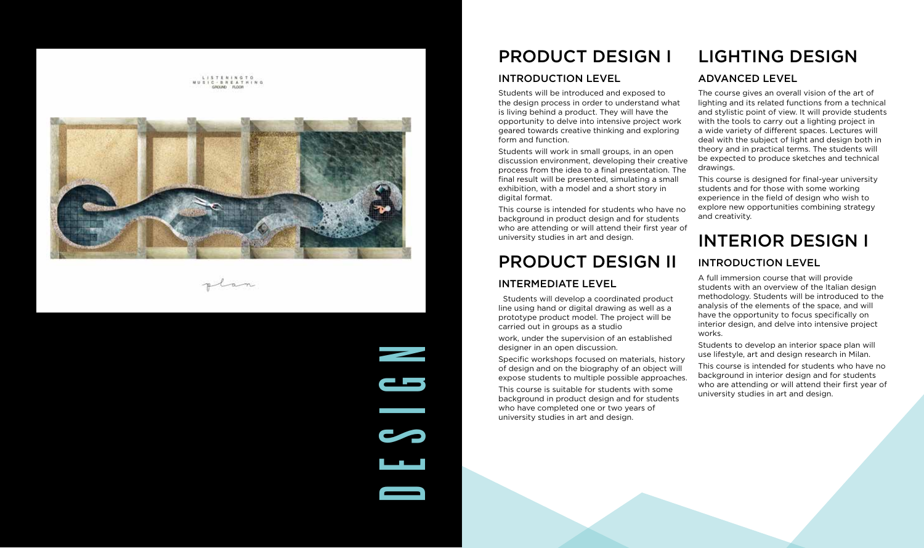

plan

**DESIGN** 

#### PRODUCT DESIGN I

#### INTRODUCTION LEVEL

Students will be introduced and exposed to the design process in order to understand what is living behind a product. They will have the opportunity to delve into intensive project work geared towards creative thinking and exploring form and function.

Students will work in small groups, in an open discussion environment, developing their creative process from the idea to a final presentation. The final result will be presented, simulating a small exhibition, with a model and a short story in digital format.

This course is intended for students who have no background in product design and for students who are attending or will attend their first year of university studies in art and design.

## PRODUCT DESIGN II

#### INTERMEDIATE LEVEL

 Students will develop a coordinated product line using hand or digital drawing as well as a prototype product model. The project will be carried out in groups as a studio

work, under the supervision of an established designer in an open discussion.

Specific workshops focused on materials, history of design and on the biography of an object will expose students to multiple possible approaches.

This course is suitable for students with some background in product design and for students who have completed one or two years of university studies in art and design.

# LIGHTING DESIGN

#### ADVANCED LEVEL

The course gives an overall vision of the art of lighting and its related functions from a technical and stylistic point of view. It will provide students with the tools to carry out a lighting project in a wide variety of different spaces. Lectures will deal with the subject of light and design both in theory and in practical terms. The students will be expected to produce sketches and technical drawings.

This course is designed for final-year university students and for those with some working experience in the field of design who wish to explore new opportunities combining strategy and creativity.

# INTERIOR DESIGN I

#### INTRODUCTION LEVEL

A full immersion course that will provide students with an overview of the Italian design methodology. Students will be introduced to the analysis of the elements of the space, and will have the opportunity to focus specifically on interior design, and delve into intensive project works.

Students to develop an interior space plan will use lifestyle, art and design research in Milan.

This course is intended for students who have no background in interior design and for students who are attending or will attend their first year of university studies in art and design.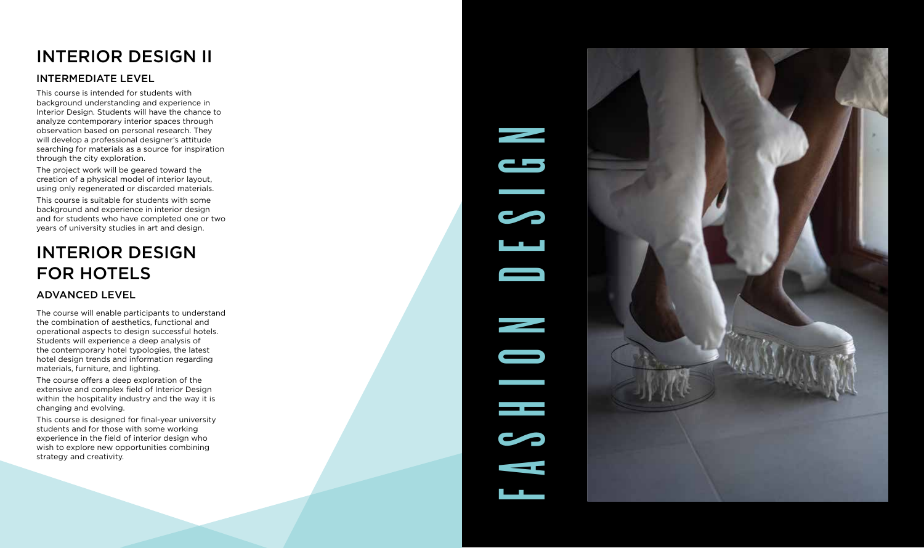# INTERIOR DESIGN II

#### INTERMEDIATE LEVEL

This course is intended for students with background understanding and experience in Interior Design. Students will have the chance to analyze contemporary interior spaces through observation based on personal research. They will develop a professional designer's attitude searching for materials as a source for inspiration through the city exploration.

The project work will be geared toward the creation of a physical model of interior layout, using only regenerated or discarded materials.

This course is suitable for students with some background and experience in interior design and for students who have completed one or two years of university studies in art and design.

# INTERIOR DESIGN FOR HOTELS

#### ADVANCED LEVEL

The course will enable participants to understand the combination of aesthetics, functional and operational aspects to design successful hotels. Students will experience a deep analysis of the contemporary hotel typologies, the latest hotel design trends and information regarding materials, furniture, and lighting.

The course offers a deep exploration of the extensive and complex field of Interior Design within the hospitality industry and the way it is changing and evolving.

This course is designed for final-year university students and for those with some working experience in the field of interior design who wish to explore new opportunities combining strategy and creativity.

# FASHION DESIGN $\overline{\phantom{a}}$ ЦL.

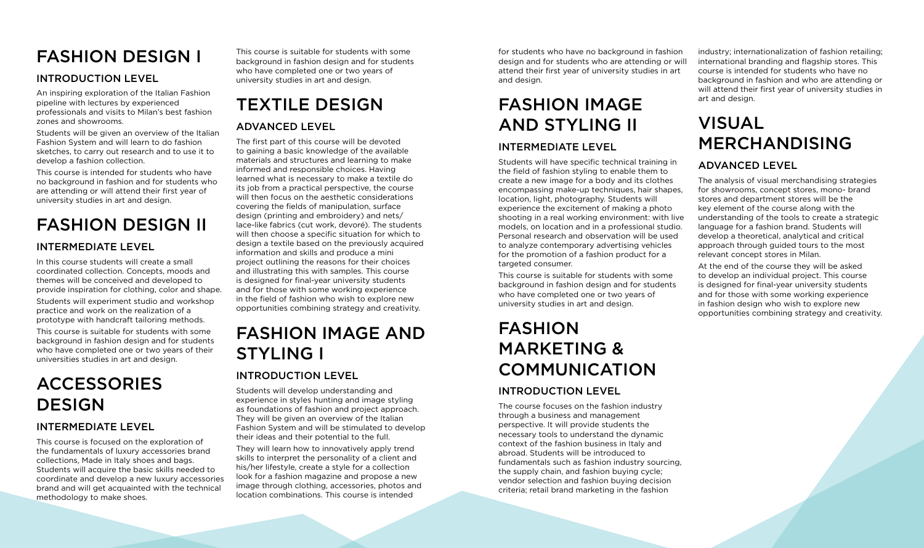# FASHION DESIGN I

#### INTRODUCTION LEVEL

An inspiring exploration of the Italian Fashion pipeline with lectures by experienced professionals and visits to Milan's best fashion zones and showrooms.

Students will be given an overview of the Italian Fashion System and will learn to do fashion sketches, to carry out research and to use it to develop a fashion collection.

This course is intended for students who have no background in fashion and for students who are attending or will attend their first year of university studies in art and design.

# FASHION DESIGN II

#### INTERMEDIATE LEVEL

In this course students will create a small coordinated collection. Concepts, moods and themes will be conceived and developed to provide inspiration for clothing, color and shape. Students will experiment studio and workshop practice and work on the realization of a prototype with handcraft tailoring methods.

This course is suitable for students with some background in fashion design and for students who have completed one or two years of their universities studies in art and design.

# ACCESSORIES DESIGN

#### INTERMEDIATE LEVEL

This course is focused on the exploration of the fundamentals of luxury accessories brand collections, Made in Italy shoes and bags. Students will acquire the basic skills needed to coordinate and develop a new luxury accessories brand and will get acquainted with the technical methodology to make shoes.

This course is suitable for students with some background in fashion design and for students who have completed one or two years of university studies in art and design.

TEXTILE DESIGN

#### ADVANCED LEVEL

The first part of this course will be devoted to gaining a basic knowledge of the available materials and structures and learning to make informed and responsible choices. Having learned what is necessary to make a textile do its job from a practical perspective, the course will then focus on the aesthetic considerations covering the fields of manipulation, surface design (printing and embroidery) and nets/ lace-like fabrics (cut work, devoré). The students will then choose a specific situation for which to design a textile based on the previously acquired information and skills and produce a mini project outlining the reasons for their choices and illustrating this with samples. This course is designed for final-year university students and for those with some working experience in the field of fashion who wish to explore new opportunities combining strategy and creativity.

# FASHION IMAGE AND STYLING I

#### INTRODUCTION LEVEL

Students will develop understanding and experience in styles hunting and image styling as foundations of fashion and project approach. They will be given an overview of the Italian Fashion System and will be stimulated to develop their ideas and their potential to the full.

They will learn how to innovatively apply trend skills to interpret the personality of a client and his/her lifestyle, create a style for a collection look for a fashion magazine and propose a new image through clothing, accessories, photos and location combinations. This course is intended

for students who have no background in fashion design and for students who are attending or will attend their first year of university studies in art and design.

# FASHION IMAGE AND STYLING II

#### INTERMEDIATE LEVEL

Students will have specific technical training in the field of fashion styling to enable them to create a new image for a body and its clothes encompassing make-up techniques, hair shapes, location, light, photography. Students will experience the excitement of making a photo shooting in a real working environment: with live models, on location and in a professional studio. Personal research and observation will be used to analyze contemporary advertising vehicles for the promotion of a fashion product for a targeted consumer.

This course is suitable for students with some background in fashion design and for students who have completed one or two years of university studies in art and design.

# FASHION MARKETING & COMMUNICATION

#### INTRODUCTION LEVEL

The course focuses on the fashion industry through a business and management perspective. It will provide students the necessary tools to understand the dynamic context of the fashion business in Italy and abroad. Students will be introduced to fundamentals such as fashion industry sourcing, the supply chain, and fashion buying cycle; vendor selection and fashion buying decision criteria; retail brand marketing in the fashion

industry; internationalization of fashion retailing; international branding and flagship stores. This course is intended for students who have no background in fashion and who are attending or will attend their first year of university studies in art and design.

# VISUAL MERCHANDISING

#### ADVANCED LEVEL

The analysis of visual merchandising strategies for showrooms, concept stores, mono- brand stores and department stores will be the key element of the course along with the understanding of the tools to create a strategic language for a fashion brand. Students will develop a theoretical, analytical and critical approach through guided tours to the most relevant concept stores in Milan.

At the end of the course they will be asked to develop an individual project. This course is designed for final-year university students and for those with some working experience in fashion design who wish to explore new opportunities combining strategy and creativity.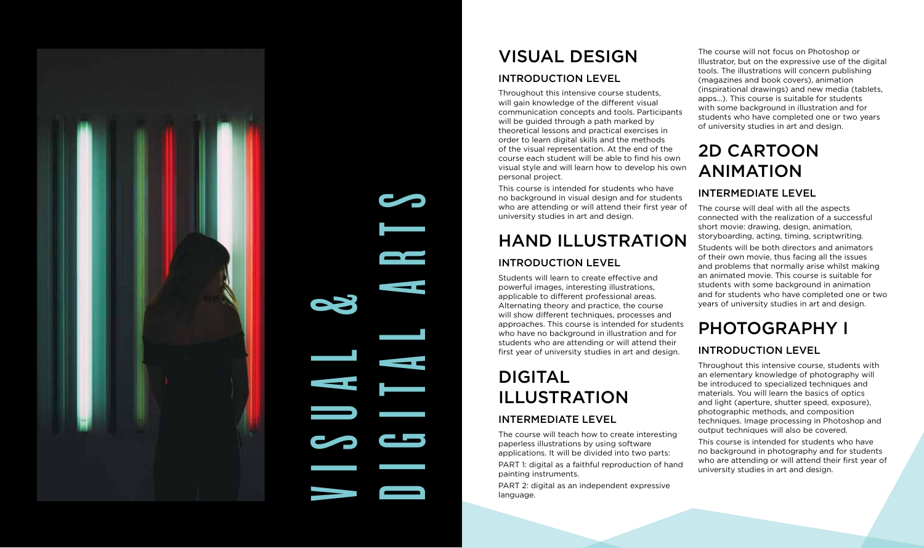

VISUAL DESIGN

#### INTRODUCTION LEVEL

Throughout this intensive course students, will gain knowledge of the different visual communication concepts and tools. Participants will be guided through a path marked by theoretical lessons and practical exercises in order to learn digital skills and the methods of the visual representation. At the end of the course each student will be able to find his own visual style and will learn how to develop his own personal project.

This course is intended for students who have no background in visual design and for students who are attending or will attend their first year of university studies in art and design.

## HAND ILLUSTRATION INTRODUCTION LEVEL

Students will learn to create effective and powerful images, interesting illustrations, applicable to different professional areas. Alternating theory and practice, the course will show different techniques, processes and approaches. This course is intended for students who have no background in illustration and for students who are attending or will attend their first year of university studies in art and design.

# DIGITAL ILLUSTRATION

DIGITAL ARTS

#### INTERMEDIATE LEVEL

The course will teach how to create interesting paperless illustrations by using software applications. It will be divided into two parts:

PART 1: digital as a faithful reproduction of hand painting instruments.

PART 2: digital as an independent expressive language.

The course will not focus on Photoshop or Illustrator, but on the expressive use of the digital tools. The illustrations will concern publishing (magazines and book covers), animation (inspirational drawings) and new media (tablets, apps...). This course is suitable for students with some background in illustration and for students who have completed one or two years of university studies in art and design.

# 2D CARTOON ANIMATION

#### INTERMEDIATE LEVEL

The course will deal with all the aspects connected with the realization of a successful short movie: drawing, design, animation, storyboarding, acting, timing, scriptwriting. Students will be both directors and animators of their own movie, thus facing all the issues and problems that normally arise whilst making an animated movie. This course is suitable for students with some background in animation and for students who have completed one or two years of university studies in art and design.

# PHOTOGRAPHY I

#### INTRODUCTION LEVEL

Throughout this intensive course, students with an elementary knowledge of photography will be introduced to specialized techniques and materials. You will learn the basics of optics and light (aperture, shutter speed, exposure), photographic methods, and composition techniques. Image processing in Photoshop and output techniques will also be covered.

This course is intended for students who have no background in photography and for students who are attending or will attend their first year of university studies in art and design.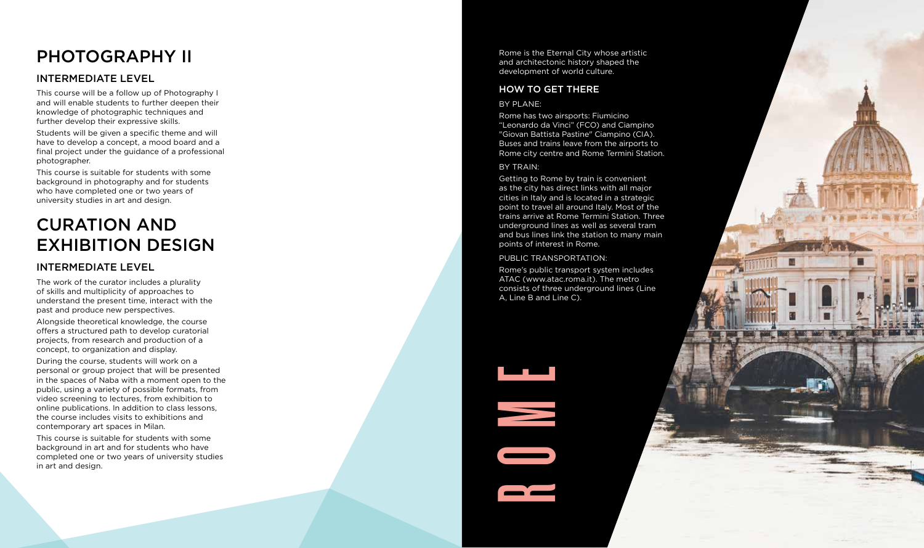# PHOTOGRAPHY II

#### INTERMEDIATE LEVEL

This course will be a follow up of Photography I and will enable students to further deepen their knowledge of photographic techniques and further develop their expressive skills.

Students will be given a specific theme and will have to develop a concept, a mood board and a final project under the guidance of a professional photographer.

This course is suitable for students with some background in photography and for students who have completed one or two years of university studies in art and design.

## CURATION AND EXHIBITION DESIGN

#### INTERMEDIATE LEVEL

The work of the curator includes a plurality of skills and multiplicity of approaches to understand the present time, interact with the past and produce new perspectives.

Alongside theoretical knowledge, the course offers a structured path to develop curatorial projects, from research and production of a concept, to organization and display.

During the course, students will work on a personal or group project that will be presented in the spaces of Naba with a moment open to the public, using a variety of possible formats, from video screening to lectures, from exhibition to online publications. In addition to class lessons, the course includes visits to exhibitions and contemporary art spaces in Milan.

This course is suitable for students with some background in art and for students who have completed one or two years of university studies in art and design.

Rome is the Eternal City whose artistic and architectonic history shaped the development of world culture.

#### HOW TO GET THERE

#### BY PLANE:

Rome has two airsports: Fiumicino "Leonardo da Vinci" (FCO) and Ciampino "Giovan Battista Pastine" Ciampino (CIA). Buses and trains leave from the airports to Rome city centre and Rome Termini Station.

#### BY TRAIN:

Getting to Rome by train is convenient as the city has direct links with all major cities in Italy and is located in a strategic point to travel all around Italy. Most of the trains arrive at Rome Termini Station. Three underground lines as well as several tram and bus lines link the station to many main points of interest in Rome.

PUBLIC TRANSPORTATION:

Rome's public transport system includes ATAC (www.atac.roma.it). The metro consists of three underground lines (Line A, Line B and Line C).



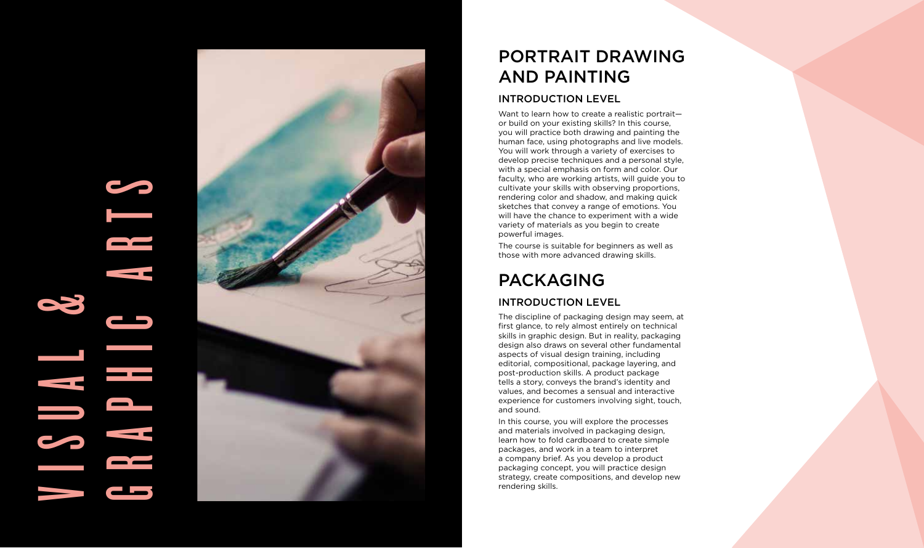# V I S U A GRAPHIC ARTS



# PORTRAIT DRAWING AND PAINTING

#### INTRODUCTION LEVEL

Want to learn how to create a realistic portraitor build on your existing skills? In this course, you will practice both drawing and painting the human face, using photographs and live models. You will work through a variety of exercises to develop precise techniques and a personal style, with a special emphasis on form and color. Our faculty, who are working artists, will guide you to cultivate your skills with observing proportions, rendering color and shadow, and making quick sketches that convey a range of emotions. You will have the chance to experiment with a wide variety of materials as you begin to create powerful images.

The course is suitable for beginners as well as those with more advanced drawing skills.

# PACKAGING

#### INTRODUCTION LEVEL

The discipline of packaging design may seem, at first glance, to rely almost entirely on technical skills in graphic design. But in reality, packaging design also draws on several other fundamental aspects of visual design training, including editorial, compositional, package layering, and post-production skills. A product package tells a story, conveys the brand's identity and values, and becomes a sensual and interactive experience for customers involving sight, touch, and sound.

In this course, you will explore the processes and materials involved in packaging design, learn how to fold cardboard to create simple packages, and work in a team to interpret a company brief. As you develop a product packaging concept, you will practice design strategy, create compositions, and develop new rendering skills.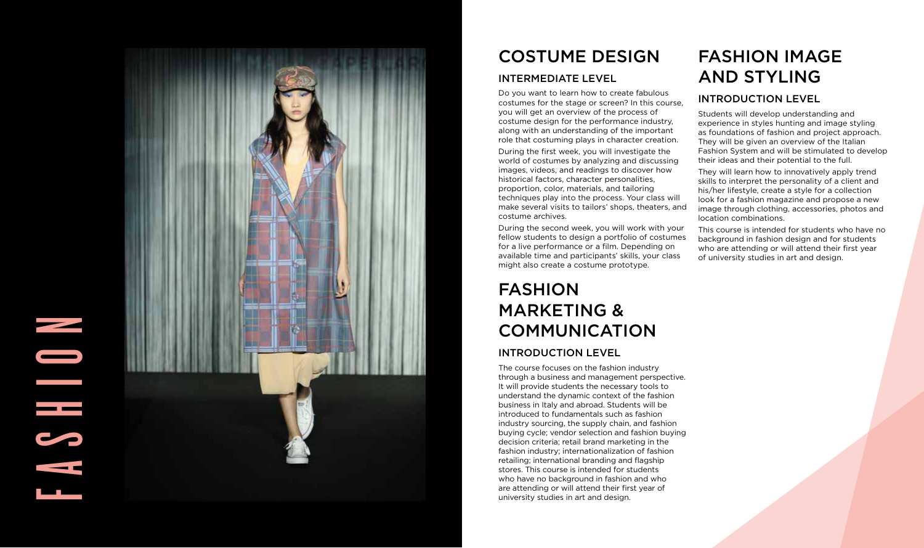# FASHION<br>Fashion<br>Fashion



# COSTUME DESIGN

#### INTERMEDIATE LEVEL

Do you want to learn how to create fabulous costumes for the stage or screen? In this course, you will get an overview of the process of costume design for the performance industry, along with an understanding of the important role that costuming plays in character creation.

During the first week, you will investigate the world of costumes by analyzing and discussing images, videos, and readings to discover how historical factors, character personalities, proportion, color, materials, and tailoring techniques play into the process. Your class will make several visits to tailors' shops, theaters, and costume archives.

During the second week, you will work with your fellow students to design a portfolio of costumes for a live performance or a film. Depending on available time and participants' skills, your class might also create a costume prototype.

# FASHION MARKETING & COMMUNICATION

#### INTRODUCTION LEVEL

The course focuses on the fashion industry through a business and management perspective. It will provide students the necessary tools to understand the dynamic context of the fashion business in Italy and abroad. Students will be introduced to fundamentals such as fashion industry sourcing, the supply chain, and fashion buying cycle; vendor selection and fashion buying decision criteria; retail brand marketing in the fashion industry; internationalization of fashion retailing; international branding and flagship stores. This course is intended for students who have no background in fashion and who are attending or will attend their first year of university studies in art and design.

# FASHION IMAGE AND STYLING

#### INTRODUCTION LEVEL

Students will develop understanding and experience in styles hunting and image styling as foundations of fashion and project approach. They will be given an overview of the Italian Fashion System and will be stimulated to develop their ideas and their potential to the full.

They will learn how to innovatively apply trend skills to interpret the personality of a client and his/her lifestyle, create a style for a collection look for a fashion magazine and propose a new image through clothing, accessories, photos and location combinations.

This course is intended for students who have no background in fashion design and for students who are attending or will attend their first year of university studies in art and design.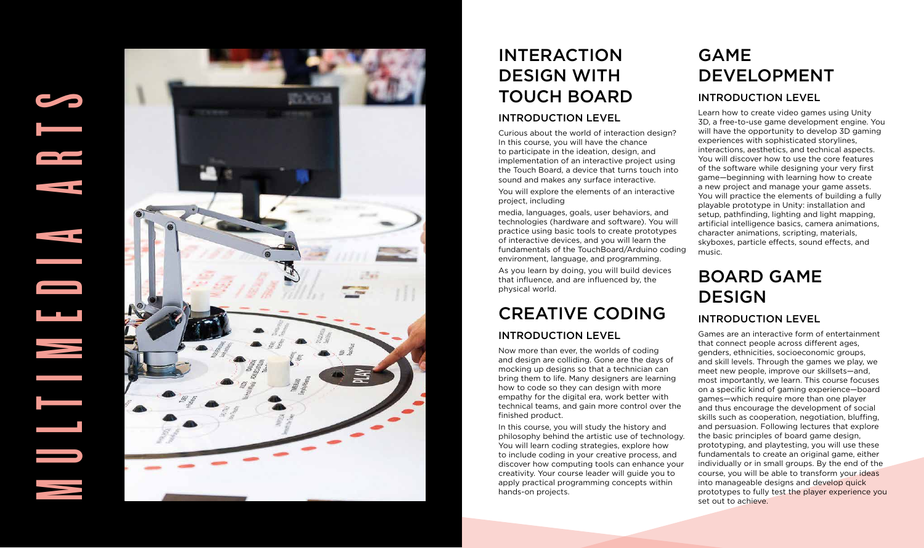# MULTIMEDIA ARTS



# INTERACTION DESIGN WITH TOUCH BOARD

#### INTRODUCTION LEVEL

Curious about the world of interaction design? In this course, you will have the chance to participate in the ideation, design, and implementation of an interactive project using the Touch Board, a device that turns touch into sound and makes any surface interactive.

You will explore the elements of an interactive project, including

media, languages, goals, user behaviors, and technologies (hardware and software). You will practice using basic tools to create prototypes of interactive devices, and you will learn the fundamentals of the TouchBoard/Arduino coding environment, language, and programming.

As you learn by doing, you will build devices that influence, and are influenced by, the physical world.

# CREATIVE CODING

#### INTRODUCTION LEVEL

Now more than ever, the worlds of coding and design are colliding. Gone are the days of mocking up designs so that a technician can bring them to life. Many designers are learning how to code so they can design with more empathy for the digital era, work better with technical teams, and gain more control over the finished product.

In this course, you will study the history and philosophy behind the artistic use of technology. You will learn coding strategies, explore how to include coding in your creative process, and discover how computing tools can enhance your creativity. Your course leader will guide you to apply practical programming concepts within hands-on projects.

# GAME DEVELOPMENT

#### INTRODUCTION LEVEL

Learn how to create video games using Unity 3D, a free-to-use game development engine. You will have the opportunity to develop 3D gaming experiences with sophisticated storylines, interactions, aesthetics, and technical aspects. You will discover how to use the core features of the software while designing your very first game—beginning with learning how to create a new project and manage your game assets. You will practice the elements of building a fully playable prototype in Unity: installation and setup, pathfinding, lighting and light mapping, artificial intelligence basics, camera animations, character animations, scripting, materials, skyboxes, particle effects, sound effects, and music.

# BOARD GAME DESIGN

#### INTRODUCTION LEVEL

Games are an interactive form of entertainment that connect people across different ages, genders, ethnicities, socioeconomic groups, and skill levels. Through the games we play, we meet new people, improve our skillsets—and, most importantly, we learn. This course focuses on a specific kind of gaming experience—board games—which require more than one player and thus encourage the development of social skills such as cooperation, negotiation, bluffing, and persuasion. Following lectures that explore the basic principles of board game design, prototyping, and playtesting, you will use these fundamentals to create an original game, either individually or in small groups. By the end of the course, you will be able to transform your ideas into manageable designs and develop quick prototypes to fully test the player experience you set out to achieve.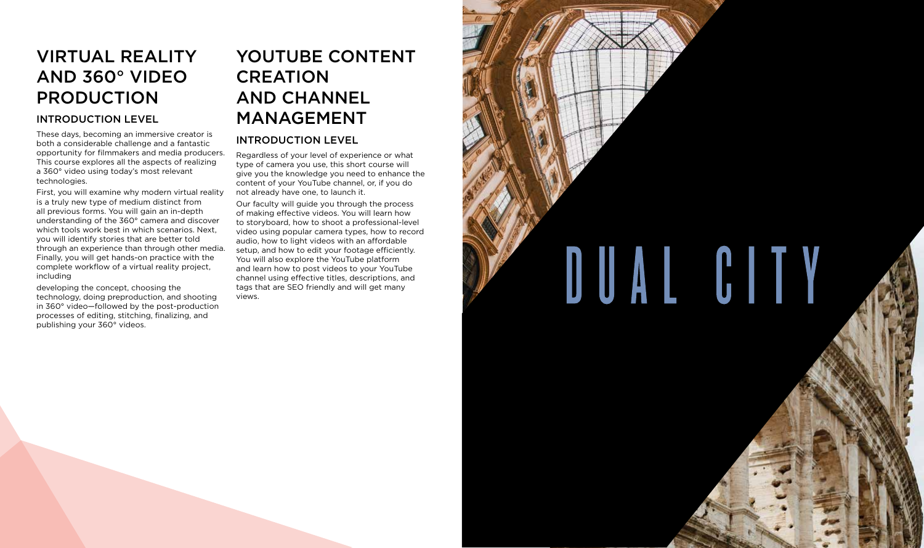# VIRTUAL REALITY AND 360° VIDEO PRODUCTION

#### INTRODUCTION LEVEL

These days, becoming an immersive creator is both a considerable challenge and a fantastic opportunity for filmmakers and media producers. This course explores all the aspects of realizing a 360° video using today's most relevant technologies.

First, you will examine why modern virtual reality is a truly new type of medium distinct from all previous forms. You will gain an in-depth understanding of the 360° camera and discover which tools work best in which scenarios. Next, you will identify stories that are better told through an experience than through other media. Finally, you will get hands-on practice with the complete workflow of a virtual reality project, including

developing the concept, choosing the technology, doing preproduction, and shooting in 360° video—followed by the post-production processes of editing, stitching, finalizing, and publishing your 360° videos.

# YOUTUBE CONTENT CREATION AND CHANNEL MANAGEMENT

#### INTRODUCTION LEVEL

Regardless of your level of experience or what type of camera you use, this short course will give you the knowledge you need to enhance the content of your YouTube channel, or, if you do not already have one, to launch it.

Our faculty will guide you through the process of making effective videos. You will learn how to storyboard, how to shoot a professional-level video using popular camera types, how to record audio, how to light videos with an affordable setup, and how to edit your footage efficiently. You will also explore the YouTube platform and learn how to post videos to your YouTube channel using effective titles, descriptions, and tags that are SEO friendly and will get many views.

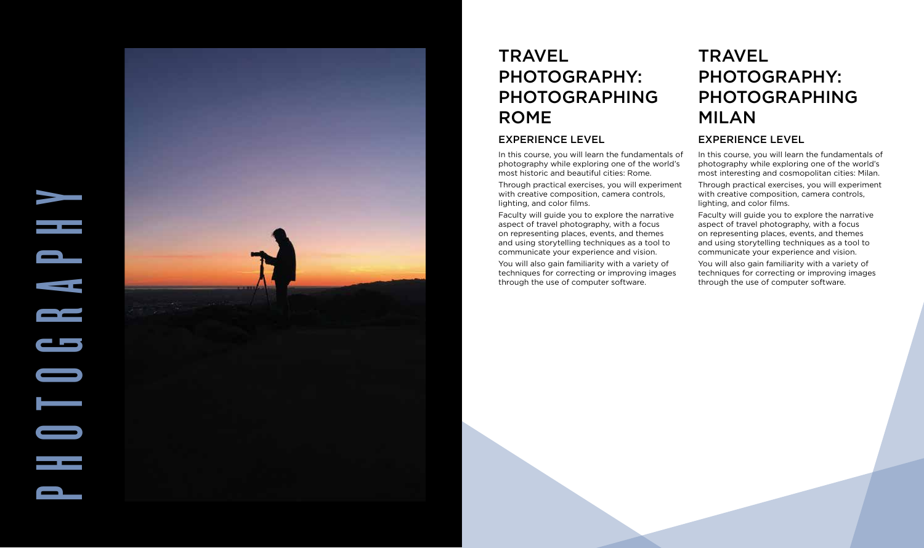

# **TRAVEL** PHOTOGRAPHY: PHOTOGRAPHING ROME

#### EXPERIENCE LEVEL

In this course, you will learn the fundamentals of photography while exploring one of the world's most historic and beautiful cities: Rome.

Through practical exercises, you will experiment with creative composition, camera controls, lighting, and color films.

Faculty will guide you to explore the narrative aspect of travel photography, with a focus on representing places, events, and themes and using storytelling techniques as a tool to communicate your experience and vision.

You will also gain familiarity with a variety of techniques for correcting or improving images through the use of computer software.

# **TRAVEL** PHOTOGRAPHY: PHOTOGRAPHING MILAN

#### EXPERIENCE LEVEL

In this course, you will learn the fundamentals of photography while exploring one of the world's most interesting and cosmopolitan cities: Milan. Through practical exercises, you will experiment with creative composition, camera controls, lighting, and color films.

Faculty will guide you to explore the narrative aspect of travel photography, with a focus on representing places, events, and themes and using storytelling techniques as a tool to communicate your experience and vision.

You will also gain familiarity with a variety of techniques for correcting or improving images through the use of computer software.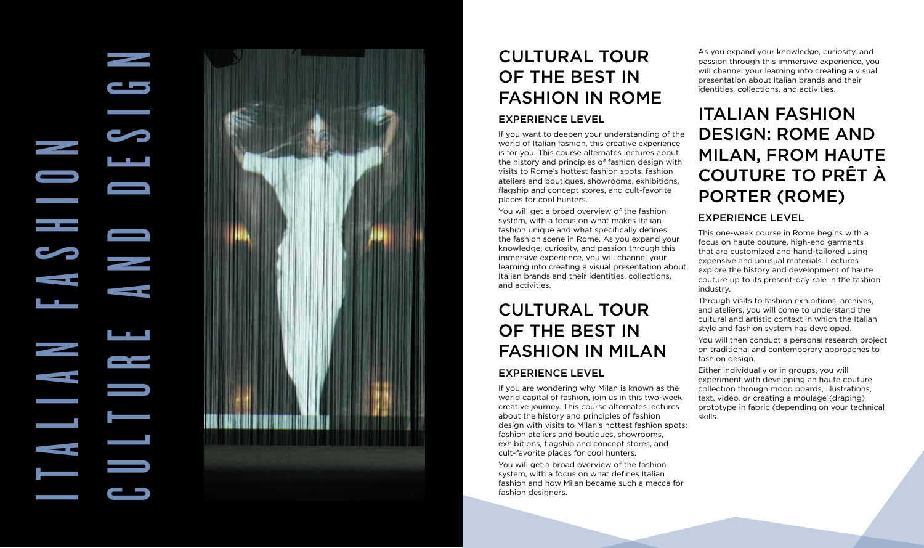# CULTURE AND DESIGN I T A L I A N F A S H I O N  $\overline{\phantom{a}}$



# CULTURAL TOUR OF THE BEST IN FASHION IN ROME

#### EXPERIENCE LEVEL

If you want to deepen your understanding of the world of Italian fashion, this creative experience is for you. This course alternates lectures about the history and principles of fashion design with visits to Rome's hottest fashion spots: fashion ateliers and boutiques, showrooms, exhibitions, flagship and concept stores, and cult-favorite places for cool hunters.

You will get a broad overview of the fashion system, with a focus on what makes Italian fashion unique and what specifically defines the fashion scene in Rome. As you expand your knowledge, curiosity, and passion through this immersive experience, you will channel your learning into creating a visual presentation about Italian brands and their identities, collections, and activities.

# CULTURAL TOUR OF THE BEST IN FASHION IN MILAN

#### EXPERIENCE LEVEL

If you are wondering why Milan is known as the world capital of fashion, join us in this two-week creative journey. This course alternates lectures about the history and principles of fashion design with visits to Milan's hottest fashion spots: fashion ateliers and boutiques, showrooms, exhibitions, flagship and concept stores, and cult-favorite places for cool hunters.

You will get a broad overview of the fashion system, with a focus on what defines Italian fashion and how Milan became such a mecca for fashion designers.

As you expand your knowledge, curiosity, and passion through this immersive experience, you will channel your learning into creating a visual presentation about Italian brands and their identities, collections, and activities.

# ITALIAN FASHION DESIGN: ROME AND MILAN, FROM HAUTE COUTURE TO PRÊT À PORTER (ROME)

#### EXPERIENCE LEVEL

This one-week course in Rome begins with a focus on haute couture, high-end garments that are customized and hand-tailored using expensive and unusual materials. Lectures explore the history and development of haute couture up to its present-day role in the fashion industry.

Through visits to fashion exhibitions, archives, and ateliers, you will come to understand the cultural and artistic context in which the Italian style and fashion system has developed.

You will then conduct a personal research project on traditional and contemporary approaches to fashion design.

Either individually or in groups, you will experiment with developing an haute couture collection through mood boards, illustrations, text, video, or creating a moulage (draping) prototype in fabric (depending on your technical skills.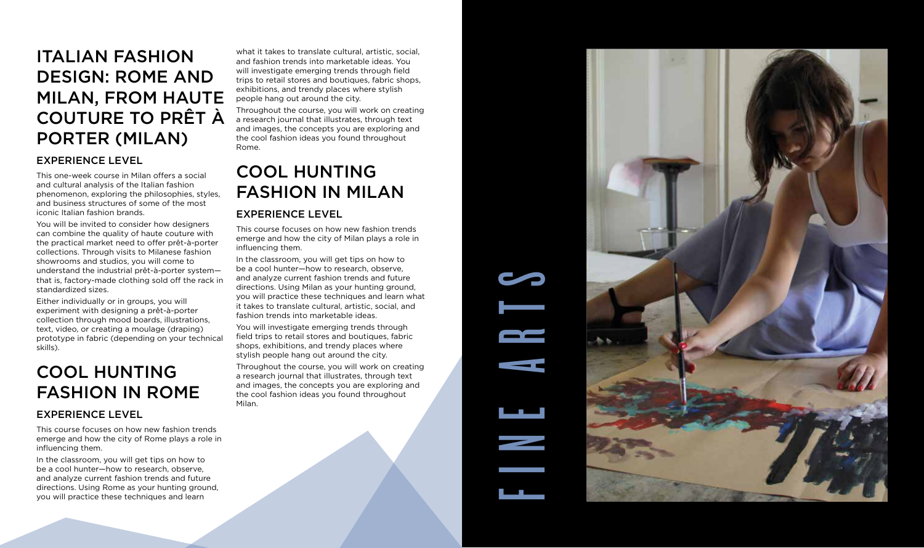# ITALIAN FASHION DESIGN: ROME AND MILAN, FROM HAUTE COUTURE TO PRÊT À PORTER (MILAN)

#### EXPERIENCE LEVEL

This one-week course in Milan offers a social and cultural analysis of the Italian fashion phenomenon, exploring the philosophies, styles, and business structures of some of the most iconic Italian fashion brands.

You will be invited to consider how designers can combine the quality of haute couture with the practical market need to offer prêt-à-porter collections. Through visits to Milanese fashion showrooms and studios, you will come to understand the industrial prêt-à-porter system that is, factory-made clothing sold off the rack in standardized sizes.

Either individually or in groups, you will experiment with designing a prêt-à-porter collection through mood boards, illustrations, text, video, or creating a moulage (draping) prototype in fabric (depending on your technical skills).

# COOL HUNTING FASHION IN ROME

#### EXPERIENCE LEVEL

This course focuses on how new fashion trends emerge and how the city of Rome plays a role in influencing them.

In the classroom, you will get tips on how to be a cool hunter—how to research, observe, and analyze current fashion trends and future directions. Using Rome as your hunting ground, you will practice these techniques and learn

what it takes to translate cultural, artistic, social, and fashion trends into marketable ideas. You will investigate emerging trends through field trips to retail stores and boutiques, fabric shops, exhibitions, and trendy places where stylish people hang out around the city.

Throughout the course, you will work on creating a research journal that illustrates, through text and images, the concepts you are exploring and the cool fashion ideas you found throughout Rome.

# COOL HUNTING FASHION IN MILAN

#### EXPERIENCE LEVEL

This course focuses on how new fashion trends emerge and how the city of Milan plays a role in influencing them.

In the classroom, you will get tips on how to be a cool hunter—how to research, observe, and analyze current fashion trends and future directions. Using Milan as your hunting ground, you will practice these techniques and learn what it takes to translate cultural, artistic, social, and fashion trends into marketable ideas.

You will investigate emerging trends through field trips to retail stores and boutiques, fabric shops, exhibitions, and trendy places where stylish people hang out around the city.

Throughout the course, you will work on creating a research journal that illustrates, through text and images, the concepts you are exploring and the cool fashion ideas you found throughout Milan.

FINE ARTS

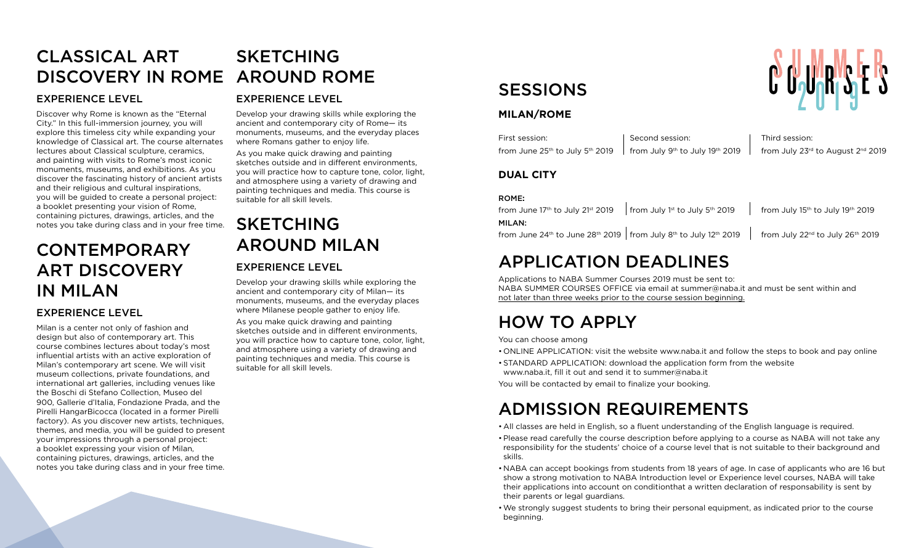#### CLASSICAL ART DISCOVERY IN ROME SKETCHING AROUND ROME

#### EXPERIENCE LEVEL

Discover why Rome is known as the "Eternal City." In this full-immersion journey, you will explore this timeless city while expanding your knowledge of Classical art. The course alternates lectures about Classical sculpture, ceramics, and painting with visits to Rome's most iconic monuments, museums, and exhibitions. As you discover the fascinating history of ancient artists and their religious and cultural inspirations, you will be guided to create a personal project: a booklet presenting your vision of Rome, containing pictures, drawings, articles, and the notes you take during class and in your free time.

# CONTEMPORARY ART DISCOVERY IN MILAN

#### EXPERIENCE LEVEL

Milan is a center not only of fashion and design but also of contemporary art. This course combines lectures about today's most influential artists with an active exploration of Milan's contemporary art scene. We will visit museum collections, private foundations, and international art galleries, including venues like the Boschi di Stefano Collection, Museo del 900, Gallerie d'Italia, Fondazione Prada, and the Pirelli HangarBicocca (located in a former Pirelli factory). As you discover new artists, techniques, themes, and media, you will be guided to present your impressions through a personal project: a booklet expressing your vision of Milan, containing pictures, drawings, articles, and the notes you take during class and in your free time.

#### EXPERIENCE LEVEL

Develop your drawing skills while exploring the ancient and contemporary city of Rome— its monuments, museums, and the everyday places where Romans gather to enjoy life.

As you make quick drawing and painting sketches outside and in different environments, you will practice how to capture tone, color, light, and atmosphere using a variety of drawing and painting techniques and media. This course is suitable for all skill levels.

## SKETCHING AROUND MILAN EXPERIENCE LEVEL

Develop your drawing skills while exploring the ancient and contemporary city of Milan— its monuments, museums, and the everyday places where Milanese people gather to enjoy life.

As you make quick drawing and painting sketches outside and in different environments, you will practice how to capture tone, color, light, and atmosphere using a variety of drawing and painting techniques and media. This course is suitable for all skill levels.

# SESSIONS

#### **MILAN/ROME**

| First session:                                                            | Second session: | Third session:                                              |
|---------------------------------------------------------------------------|-----------------|-------------------------------------------------------------|
| from June $25th$ to July $5th$ 2019   from July $9th$ to July $19th$ 2019 |                 | from July 23 $^{\text{rd}}$ to August 2 $^{\text{nd}}$ 2019 |

#### **DUAL CITY**

#### ROME**:**

from June 17<sup>th</sup> to July 21<sup>st</sup> 2019 from July 1<sup>st</sup> to July 5<sup>th</sup> 2019 from July 15<sup>th</sup> to July 19<sup>th</sup> 2019 MILAN: from June 24<sup>th</sup> to June 28<sup>th</sup> 2019 from July 8<sup>th</sup> to July 12<sup>th</sup> 2019 from July 22<sup>nd</sup> to July 26<sup>th</sup> 2019

# APPLICATION DEADLINES

Applications to NABA Summer Courses 2019 must be sent to: NABA SUMMER COURSES OFFICE via email at summer@naba.it and must be sent within and not later than three weeks prior to the course session beginning.

# HOW TO APPLY

You can choose among

- ONLINE APPLICATION: visit the website www.naba.it and follow the steps to book and pay online
- •STANDARD APPLICATION: download the application form from the website www.naba.it, fill it out and send it to summer@naba.it
- You will be contacted by email to finalize your booking.

# ADMISSION REQUIREMENTS

- •All classes are held in English, so a fluent understanding of the English language is required.
- •Please read carefully the course description before applying to a course as NABA will not take any responsibility for the students' choice of a course level that is not suitable to their background and skills.
- •NABA can accept bookings from students from 18 years of age. In case of applicants who are 16 but show a strong motivation to NABA Introduction level or Experience level courses, NABA will take their applications into account on conditionthat a written declaration of responsability is sent by their parents or legal guardians.
- •We strongly suggest students to bring their personal equipment, as indicated prior to the course beginning.